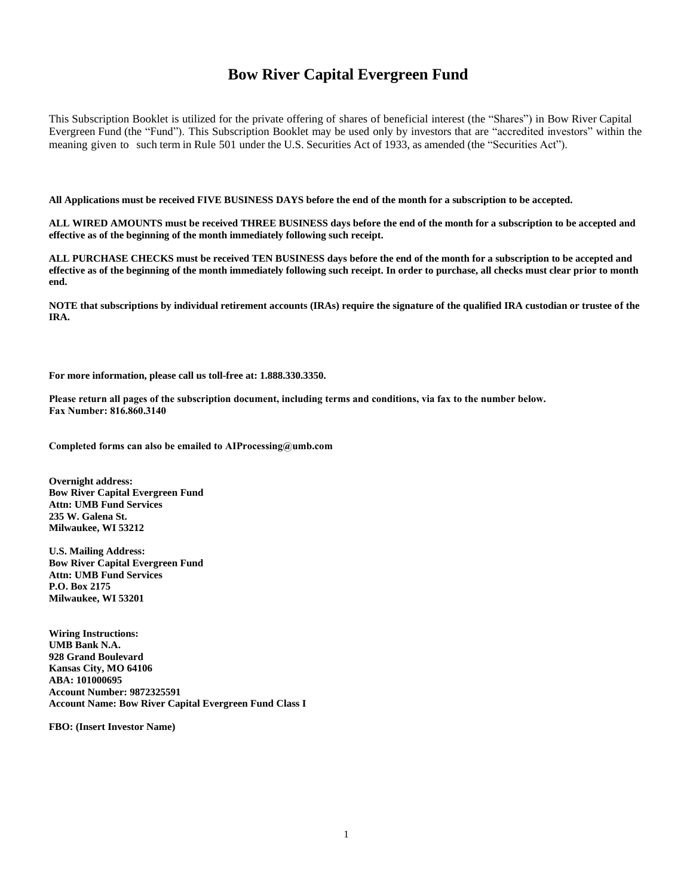# **Bow River Capital Evergreen Fund**

This Subscription Booklet is utilized for the private offering of shares of beneficial interest (the "Shares") in Bow River Capital Evergreen Fund (the "Fund"). This Subscription Booklet may be used only by investors that are "accredited investors" within the meaning given to such term in Rule 501 under the U.S. Securities Act of 1933, as amended (the "Securities Act").

**All Applications must be received FIVE BUSINESS DAYS before the end of the month for a subscription to be accepted.** 

**ALL WIRED AMOUNTS must be received THREE BUSINESS days before the end of the month for a subscription to be accepted and effective as of the beginning of the month immediately following such receipt.** 

**ALL PURCHASE CHECKS must be received TEN BUSINESS days before the end of the month for a subscription to be accepted and effective as of the beginning of the month immediately following such receipt. In order to purchase, all checks must clear prior to month end.** 

**NOTE that subscriptions by individual retirement accounts (IRAs) require the signature of the qualified IRA custodian or trustee of the IRA.**

**For more information, please call us toll-free at: 1.888.330.3350.** 

**Please return all pages of the subscription document, including terms and conditions, via fax to the number below. Fax Number: 816.860.3140** 

**Completed forms can also be emailed to AIProcessing@umb.com** 

**Overnight address: Bow River Capital Evergreen Fund Attn: UMB Fund Services 235 W. Galena St. Milwaukee, WI 53212** 

**U.S. Mailing Address: Bow River Capital Evergreen Fund Attn: UMB Fund Services P.O. Box 2175 Milwaukee, WI 53201** 

**Wiring Instructions: UMB Bank N.A. 928 Grand Boulevard Kansas City, MO 64106 ABA: 101000695 Account Number: 9872325591 Account Name: Bow River Capital Evergreen Fund Class I** 

**FBO: (Insert Investor Name)**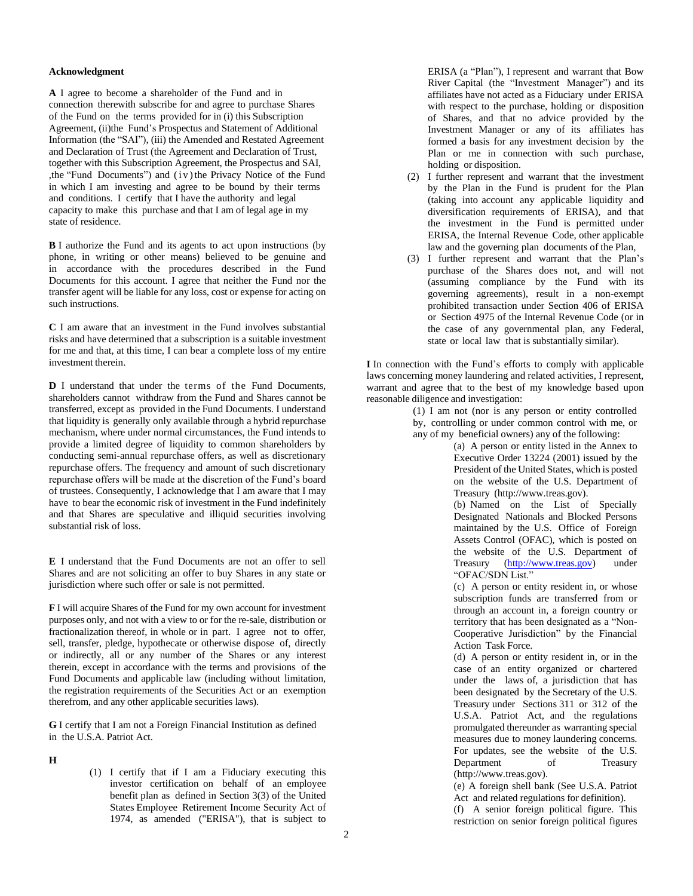#### **Acknowledgment**

**A** I agree to become a shareholder of the Fund and in connection therewith subscribe for and agree to purchase Shares of the Fund on the terms provided for in (i) this Subscription Agreement, (ii)the Fund's Prospectus and Statement of Additional Information (the "SAI"), (iii) the Amended and Restated Agreement and Declaration of Trust (the Agreement and Declaration of Trust, together with this Subscription Agreement, the Prospectus and SAI, ,the "Fund Documents") and (iv) the Privacy Notice of the Fund in which I am investing and agree to be bound by their terms and conditions. I certify that I have the authority and legal capacity to make this purchase and that I am of legal age in my state of residence.

**B** I authorize the Fund and its agents to act upon instructions (by phone, in writing or other means) believed to be genuine and in accordance with the procedures described in the Fund Documents for this account. I agree that neither the Fund nor the transfer agent will be liable for any loss, cost or expense for acting on such instructions.

**C** I am aware that an investment in the Fund involves substantial risks and have determined that a subscription is a suitable investment for me and that, at this time, I can bear a complete loss of my entire investment therein.

**D** I understand that under the terms of the Fund Documents, shareholders cannot withdraw from the Fund and Shares cannot be transferred, except as provided in the Fund Documents. I understand that liquidity is generally only available through a hybrid repurchase mechanism, where under normal circumstances, the Fund intends to provide a limited degree of liquidity to common shareholders by conducting semi-annual repurchase offers, as well as discretionary repurchase offers. The frequency and amount of such discretionary repurchase offers will be made at the discretion of the Fund's board of trustees. Consequently, I acknowledge that I am aware that I may have to bear the economic risk of investment in the Fund indefinitely and that Shares are speculative and illiquid securities involving substantial risk of loss.

**E** I understand that the Fund Documents are not an offer to sell Shares and are not soliciting an offer to buy Shares in any state or jurisdiction where such offer or sale is not permitted.

**F** I will acquire Shares of the Fund for my own account for investment purposes only, and not with a view to or for the re-sale, distribution or fractionalization thereof, in whole or in part. I agree not to offer, sell, transfer, pledge, hypothecate or otherwise dispose of, directly or indirectly, all or any number of the Shares or any interest therein, except in accordance with the terms and provisions of the Fund Documents and applicable law (including without limitation, the registration requirements of the Securities Act or an exemption therefrom, and any other applicable securities laws).

**G** I certify that I am not a Foreign Financial Institution as defined in the U.S.A. Patriot Act.

#### **H**

(1) I certify that if I am a Fiduciary executing this investor certification on behalf of an employee benefit plan as defined in Section 3(3) of the United States Employee Retirement Income Security Act of 1974, as amended ("ERISA"), that is subject to

ERISA (a "Plan"), I represent and warrant that Bow River Capital (the "Investment Manager") and its affiliates have not acted as a Fiduciary under ERISA with respect to the purchase, holding or disposition of Shares, and that no advice provided by the Investment Manager or any of its affiliates has formed a basis for any investment decision by the Plan or me in connection with such purchase, holding or disposition.

- (2) I further represent and warrant that the investment by the Plan in the Fund is prudent for the Plan (taking into account any applicable liquidity and diversification requirements of ERISA), and that the investment in the Fund is permitted under ERISA, the Internal Revenue Code, other applicable law and the governing plan documents of the Plan,
- (3) I further represent and warrant that the Plan's purchase of the Shares does not, and will not (assuming compliance by the Fund with its governing agreements), result in a non-exempt prohibited transaction under Section 406 of ERISA or Section 4975 of the Internal Revenue Code (or in the case of any governmental plan, any Federal, state or local law that is substantially similar).

**I** In connection with the Fund's efforts to comply with applicable laws concerning money laundering and related activities, I represent, warrant and agree that to the best of my knowledge based upon reasonable diligence and investigation:

> (1) I am not (nor is any person or entity controlled by, controlling or under common control with me, or any of my beneficial owners) any of the following:

(a) A person or entity listed in the Annex to Executive Order 13224 (2001) issued by the President of the United States, which is posted on the website of the U.S. Department of Treasury (http://www.treas.gov).

(b) Named on the List of Specially Designated Nationals and Blocked Persons maintained by the U.S. Office of Foreign Assets Control (OFAC), which is posted on the website of the U.S. Department of Treasury [\(http://www.treas.gov\)](http://www.treas.gov/) under "OFAC/SDN List."

(c) A person or entity resident in, or whose subscription funds are transferred from or through an account in, a foreign country or territory that has been designated as a "Non-Cooperative Jurisdiction" by the Financial Action Task Force.

(d) A person or entity resident in, or in the case of an entity organized or chartered under the laws of, a jurisdiction that has been designated by the Secretary of the U.S. Treasury under Sections 311 or 312 of the U.S.A. Patriot Act, and the regulations promulgated thereunder as warranting special measures due to money laundering concerns. For updates, see the website of the U.S. Department of Treasury (http://www.treas.gov).

(e) A foreign shell bank (See U.S.A. Patriot Act and related regulations for definition).

(f) A senior foreign political figure. This restriction on senior foreign political figures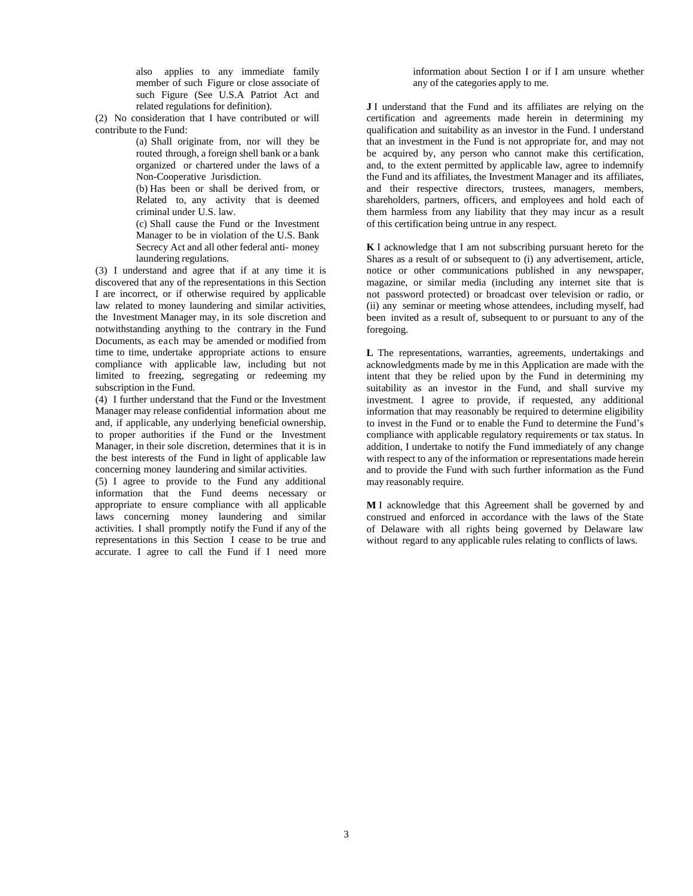also applies to any immediate family member of such Figure or close associate of such Figure (See U.S.A Patriot Act and related regulations for definition).

(2) No consideration that I have contributed or will contribute to the Fund:

> (a) Shall originate from, nor will they be routed through, a foreign shell bank or a bank organized or chartered under the laws of a Non-Cooperative Jurisdiction.

> (b) Has been or shall be derived from, or Related to, any activity that is deemed criminal under U.S. law.

> (c) Shall cause the Fund or the Investment Manager to be in violation of the U.S. Bank Secrecy Act and all other federal anti- money laundering regulations.

(3) I understand and agree that if at any time it is discovered that any of the representations in this Section I are incorrect, or if otherwise required by applicable law related to money laundering and similar activities, the Investment Manager may, in its sole discretion and notwithstanding anything to the contrary in the Fund Documents, as each may be amended or modified from time to time, undertake appropriate actions to ensure compliance with applicable law, including but not limited to freezing, segregating or redeeming my subscription in the Fund.

(4) I further understand that the Fund or the Investment Manager may release confidential information about me and, if applicable, any underlying beneficial ownership, to proper authorities if the Fund or the Investment Manager, in their sole discretion, determines that it is in the best interests of the Fund in light of applicable law concerning money laundering and similar activities.

(5) I agree to provide to the Fund any additional information that the Fund deems necessary or appropriate to ensure compliance with all applicable laws concerning money laundering and similar activities. I shall promptly notify the Fund if any of the representations in this Section I cease to be true and accurate. I agree to call the Fund if I need more

information about Section I or if I am unsure whether any of the categories apply to me.

**J** I understand that the Fund and its affiliates are relying on the certification and agreements made herein in determining my qualification and suitability as an investor in the Fund. I understand that an investment in the Fund is not appropriate for, and may not be acquired by, any person who cannot make this certification, and, to the extent permitted by applicable law, agree to indemnify the Fund and its affiliates, the Investment Manager and its affiliates, and their respective directors, trustees, managers, members, shareholders, partners, officers, and employees and hold each of them harmless from any liability that they may incur as a result of this certification being untrue in any respect.

**K** I acknowledge that I am not subscribing pursuant hereto for the Shares as a result of or subsequent to (i) any advertisement, article, notice or other communications published in any newspaper, magazine, or similar media (including any internet site that is not password protected) or broadcast over television or radio, or (ii) any seminar or meeting whose attendees, including myself, had been invited as a result of, subsequent to or pursuant to any of the foregoing.

**L** The representations, warranties, agreements, undertakings and acknowledgments made by me in this Application are made with the intent that they be relied upon by the Fund in determining my suitability as an investor in the Fund, and shall survive my investment. I agree to provide, if requested, any additional information that may reasonably be required to determine eligibility to invest in the Fund or to enable the Fund to determine the Fund's compliance with applicable regulatory requirements or tax status. In addition, I undertake to notify the Fund immediately of any change with respect to any of the information or representations made herein and to provide the Fund with such further information as the Fund may reasonably require.

**M** I acknowledge that this Agreement shall be governed by and construed and enforced in accordance with the laws of the State of Delaware with all rights being governed by Delaware law without regard to any applicable rules relating to conflicts of laws.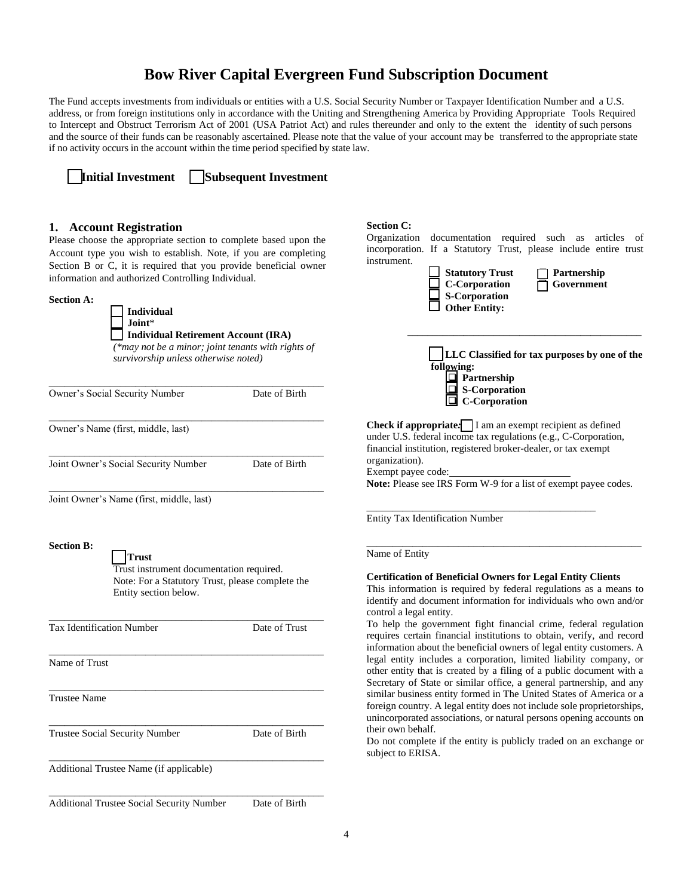# **Bow River Capital Evergreen Fund Subscription Document**

The Fund accepts investments from individuals or entities with a U.S. Social Security Number or Taxpayer Identification Number and a U.S. address, or from foreign institutions only in accordance with the Uniting and Strengthening America by Providing Appropriate Tools Required to Intercept and Obstruct Terrorism Act of 2001 (USA Patriot Act) and rules thereunder and only to the extent the identity of such persons and the source of their funds can be reasonably ascertained. Please note that the value of your account may be transferred to the appropriate state if no activity occurs in the account within the time period specified by state law.

❑ **Initial Investment** ❑ **Subsequent Investment**

## **1. Account Registration**

Please choose the appropriate section to complete based upon the Account type you wish to establish. Note, if you are completing Section B or C, it is required that you provide beneficial owner information and authorized Controlling Individual.

**Section A:**

❑ **Individual** ❑ **Joint**\* ❑ **Individual Retirement Account (IRA)**

*(\*may not be a minor; joint tenants with rights of survivorship unless otherwise noted)*

| Owner's Social Security Number       | Date of Birth |
|--------------------------------------|---------------|
| Owner's Name (first, middle, last)   |               |
| Joint Owner's Social Security Number | Date of Birth |

\_\_\_\_\_\_\_\_\_\_\_\_\_\_\_\_\_\_\_\_\_\_\_\_\_\_\_\_\_\_\_\_\_\_\_\_\_\_\_\_\_\_\_\_\_\_\_\_\_\_\_\_\_\_ Joint Owner's Name (first, middle, last)

**Section B:**

❑ **Trust**

Trust instrument documentation required. Note: For a Statutory Trust, please complete the Entity section below.

| <b>Tax Identification Number</b> | Date of Trust |
|----------------------------------|---------------|
| Name of Trust                    |               |
| <b>Trustee Name</b>              |               |
| Trustee Social Security Number   | Date of Birth |

\_\_\_\_\_\_\_\_\_\_\_\_\_\_\_\_\_\_\_\_\_\_\_\_\_\_\_\_\_\_\_\_\_\_\_\_\_\_\_\_\_\_\_\_\_\_\_\_\_\_\_\_\_\_

\_\_\_\_\_\_\_\_\_\_\_\_\_\_\_\_\_\_\_\_\_\_\_\_\_\_\_\_\_\_\_\_\_\_\_\_\_\_\_\_\_\_\_\_\_\_\_\_\_\_\_\_\_\_

\_\_\_\_\_\_\_\_\_\_\_\_\_\_\_\_\_\_\_\_\_\_\_\_\_\_\_\_\_\_\_\_\_\_\_\_\_\_\_\_\_\_\_\_\_\_\_\_\_\_\_\_\_\_

Additional Trustee Name (if applicable)

Additional Trustee Social Security Number Date of Birth

#### **Section C:**

Organization documentation required such as articles of incorporation. If a Statutory Trust, please include entire trust instrument.

| <b>Statutory Trus</b> |
|-----------------------|
| <b>C</b> -Corporation |
| <b>S-Corporation</b>  |
| <b>Other Entity:</b>  |

❑ **Statutory Trust** ❑ **Partnership** ❑ **C-Corporation** ❑ **Government**

| LLC Classified for tax purposes by one of the<br>following:<br>Partnership<br>$\Box$ S-Corporation<br>$\Box$ C-Corporation                                                                                   |  |
|--------------------------------------------------------------------------------------------------------------------------------------------------------------------------------------------------------------|--|
| <b>Check if appropriate:</b> $\Box$ I am an exempt recipient as defined<br>under U.S. federal income tax regulations (e.g., C-Corporation,<br>financial institution, registered broker-dealer, or tax exempt |  |

\_\_\_\_\_\_\_\_\_\_\_\_\_\_\_\_\_\_\_\_\_\_\_\_\_\_\_\_\_\_\_\_\_\_\_\_\_\_\_\_\_\_\_\_\_\_

organization). Exempt payee code:

**Note:** Please see IRS Form W-9 for a list of exempt payee codes.

\_\_\_\_\_\_\_\_\_\_\_\_\_\_\_\_\_\_\_\_\_\_\_\_\_\_\_\_\_\_\_\_\_\_\_\_\_\_\_\_\_\_\_\_\_

Entity Tax Identification Number

Name of Entity

#### **Certification of Beneficial Owners for Legal Entity Clients**

This information is required by federal regulations as a means to identify and document information for individuals who own and/or control a legal entity.

\_\_\_\_\_\_\_\_\_\_\_\_\_\_\_\_\_\_\_\_\_\_\_\_\_\_\_\_\_\_\_\_\_\_\_\_\_\_\_\_\_\_\_\_\_\_\_\_\_\_\_\_\_\_

To help the government fight financial crime, federal regulation requires certain financial institutions to obtain, verify, and record information about the beneficial owners of legal entity customers. A legal entity includes a corporation, limited liability company, or other entity that is created by a filing of a public document with a Secretary of State or similar office, a general partnership, and any similar business entity formed in The United States of America or a foreign country. A legal entity does not include sole proprietorships, unincorporated associations, or natural persons opening accounts on their own behalf.

Do not complete if the entity is publicly traded on an exchange or subject to ERISA.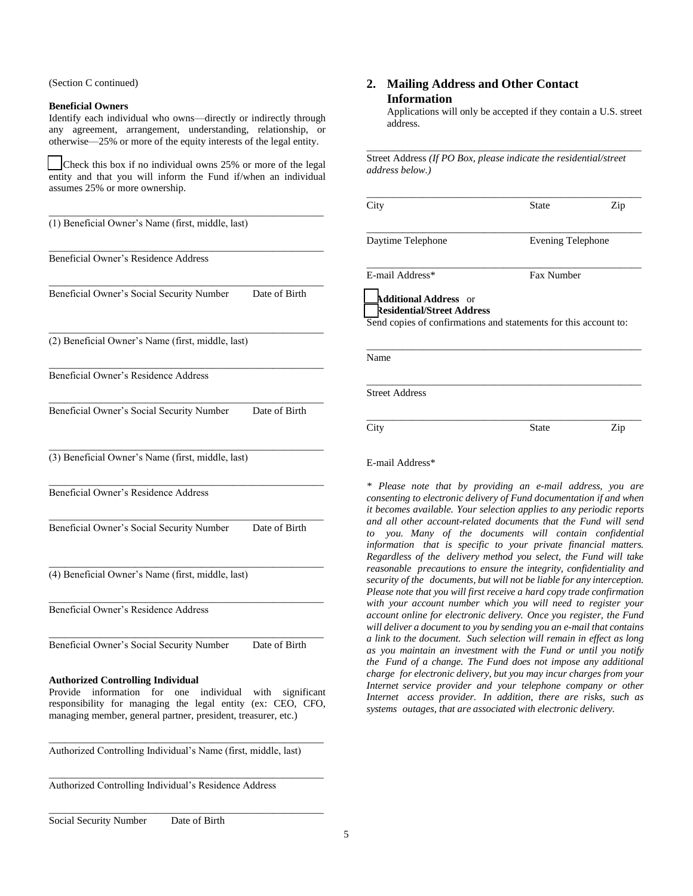(Section C continued)

#### **Beneficial Owners**

Identify each individual who owns—directly or indirectly through any agreement, arrangement, understanding, relationship, or otherwise—25% or more of the equity interests of the legal entity.

Check this box if no individual owns 25% or more of the legal entity and that you will inform the Fund if/when an individual assumes 25% or more ownership.

| (1) Beneficial Owner's Name (first, middle, last)                                                                                                                                                                                            |
|----------------------------------------------------------------------------------------------------------------------------------------------------------------------------------------------------------------------------------------------|
| Beneficial Owner's Residence Address                                                                                                                                                                                                         |
| Beneficial Owner's Social Security Number<br>Date of Birth                                                                                                                                                                                   |
| (2) Beneficial Owner's Name (first, middle, last)                                                                                                                                                                                            |
| Beneficial Owner's Residence Address                                                                                                                                                                                                         |
| Beneficial Owner's Social Security Number<br>Date of Birth                                                                                                                                                                                   |
| (3) Beneficial Owner's Name (first, middle, last)                                                                                                                                                                                            |
| Beneficial Owner's Residence Address                                                                                                                                                                                                         |
| Beneficial Owner's Social Security Number<br>Date of Birth                                                                                                                                                                                   |
| (4) Beneficial Owner's Name (first, middle, last)                                                                                                                                                                                            |
| Beneficial Owner's Residence Address                                                                                                                                                                                                         |
| Date of Birth<br>Beneficial Owner's Social Security Number                                                                                                                                                                                   |
| <b>Authorized Controlling Individual</b><br>Provide<br>information<br>for one individual with<br>significant<br>responsibility for managing the legal entity (ex: CEO, CFO,<br>managing member, general partner, president, treasurer, etc.) |

Authorized Controlling Individual's Name (first, middle, last)

\_\_\_\_\_\_\_\_\_\_\_\_\_\_\_\_\_\_\_\_\_\_\_\_\_\_\_\_\_\_\_\_\_\_\_\_\_\_\_\_\_\_\_\_\_\_\_\_\_\_\_\_\_\_

\_\_\_\_\_\_\_\_\_\_\_\_\_\_\_\_\_\_\_\_\_\_\_\_\_\_\_\_\_\_\_\_\_\_\_\_\_\_\_\_\_\_\_\_\_\_\_\_\_\_\_\_\_\_

\_\_\_\_\_\_\_\_\_\_\_\_\_\_\_\_\_\_\_\_\_\_\_\_\_\_\_\_\_\_\_\_\_\_\_\_\_\_\_\_\_\_\_\_\_\_\_\_\_\_\_\_\_\_

Authorized Controlling Individual's Residence Address

## **2. Mailing Address and Other Contact Information**

Applications will only be accepted if they contain a U.S. street address.

\_\_\_\_\_\_\_\_\_\_\_\_\_\_\_\_\_\_\_\_\_\_\_\_\_\_\_\_\_\_\_\_\_\_\_\_\_\_\_\_\_\_\_\_\_\_\_\_\_\_\_\_\_\_ Street Address *(If PO Box, please indicate the residential/street address below.)*

| <b>Evening Telephone</b><br><b>Fax Number</b><br>Send copies of confirmations and statements for this account to: |                                                                                                                                                 |
|-------------------------------------------------------------------------------------------------------------------|-------------------------------------------------------------------------------------------------------------------------------------------------|
|                                                                                                                   |                                                                                                                                                 |
|                                                                                                                   |                                                                                                                                                 |
|                                                                                                                   |                                                                                                                                                 |
|                                                                                                                   |                                                                                                                                                 |
|                                                                                                                   |                                                                                                                                                 |
|                                                                                                                   | Zip                                                                                                                                             |
|                                                                                                                   |                                                                                                                                                 |
|                                                                                                                   | <b>State</b><br>Please note that by providing an e-mail address, you are<br>consenting to electronic delivery of Fund documentation if and when |

*consenting to electronic delivery of Fund documentation if and when it becomes available. Your selection applies to any periodic reports and all other account-related documents that the Fund will send to you. Many of the documents will contain confidential information that is specific to your private financial matters. Regardless of the delivery method you select, the Fund will take reasonable precautions to ensure the integrity, confidentiality and security of the documents, but will not be liable for any interception. Please note that you will first receive a hard copy trade confirmation with your account number which you will need to register your account online for electronic delivery. Once you register, the Fund will deliver a document to you by sending you an e-mail that contains a link to the document. Such selection will remain in effect as long as you maintain an investment with the Fund or until you notify the Fund of a change. The Fund does not impose any additional charge for electronic delivery, but you may incur charges from your Internet service provider and your telephone company or other Internet access provider. In addition, there are risks, such as systems outages, that are associated with electronic delivery.*

Social Security Number Date of Birth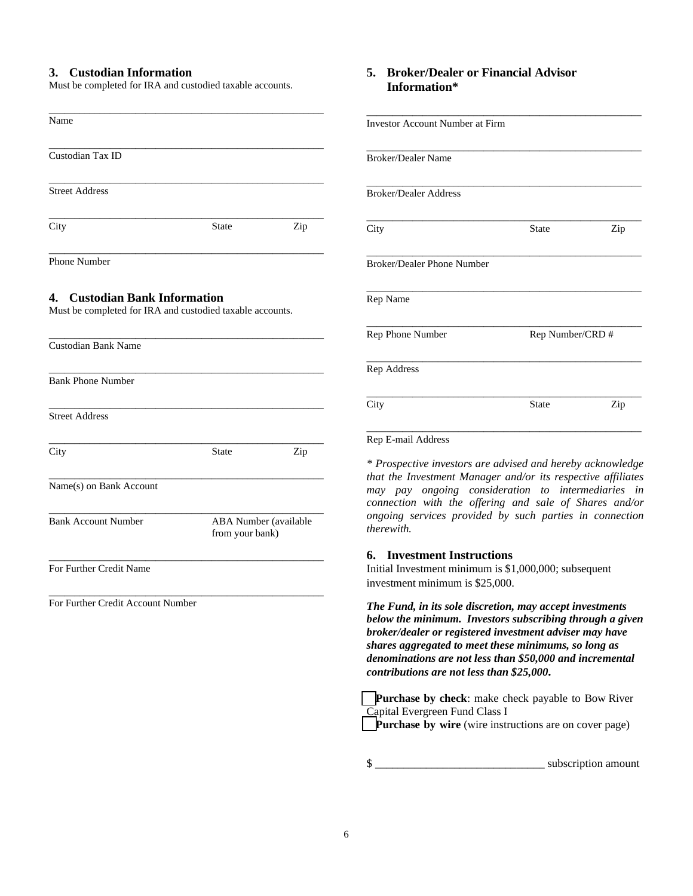## **3. Custodian Information**

Must be completed for IRA and custodied taxable accounts.

| Name                                                                                       |              |                                          |  |
|--------------------------------------------------------------------------------------------|--------------|------------------------------------------|--|
|                                                                                            |              |                                          |  |
| Custodian Tax ID                                                                           |              |                                          |  |
| <b>Street Address</b>                                                                      |              |                                          |  |
| City                                                                                       | <b>State</b> | Zip                                      |  |
| <b>Phone Number</b>                                                                        |              |                                          |  |
| 4. Custodian Bank Information<br>Must be completed for IRA and custodied taxable accounts. |              |                                          |  |
| <b>Custodian Bank Name</b>                                                                 |              |                                          |  |
| <b>Bank Phone Number</b>                                                                   |              |                                          |  |
| <b>Street Address</b>                                                                      |              |                                          |  |
| City                                                                                       | <b>State</b> | Zip                                      |  |
| Name(s) on Bank Account                                                                    |              |                                          |  |
| <b>Bank Account Number</b>                                                                 |              | ABA Number (available<br>from your bank) |  |
| For Further Credit Name                                                                    |              |                                          |  |
| $P = 4$ $Q = 14$<br>$\sqrt{M}$ $1$<br>г.                                                   |              |                                          |  |

For Further Credit Account Number

## **5. Broker/Dealer or Financial Advisor Information\***

| <b>Investor Account Number at Firm</b> |              |                  |  |
|----------------------------------------|--------------|------------------|--|
| <b>Broker/Dealer Name</b>              |              |                  |  |
| <b>Broker/Dealer Address</b>           |              |                  |  |
| City                                   | <b>State</b> | Zip              |  |
| <b>Broker/Dealer Phone Number</b>      |              |                  |  |
| Rep Name                               |              |                  |  |
| Rep Phone Number                       |              | Rep Number/CRD # |  |
| Rep Address                            |              |                  |  |
| City                                   | <b>State</b> | Zip              |  |
| Rep E-mail Address                     |              |                  |  |

*\* Prospective investors are advised and hereby acknowledge that the Investment Manager and/or its respective affiliates may pay ongoing consideration to intermediaries in connection with the offering and sale of Shares and/or ongoing services provided by such parties in connection therewith.*

#### **6. Investment Instructions**

Initial Investment minimum is \$1,000,000; subsequent investment minimum is \$25,000.

*The Fund, in its sole discretion, may accept investments below the minimum.**Investors subscribing through a given broker/dealer or registered investment adviser may have shares aggregated to meet these minimums, so long as denominations are not less than \$50,000 and incremental contributions are not less than \$25,000.*

❑**Purchase by check**: make check payable to Bow River Capital Evergreen Fund Class I **Purchase** by wire (wire instructions are on cover page)

\$ \_\_\_\_\_\_\_\_\_\_\_\_\_\_\_\_\_\_\_\_\_\_\_\_\_\_\_\_\_\_ subscription amount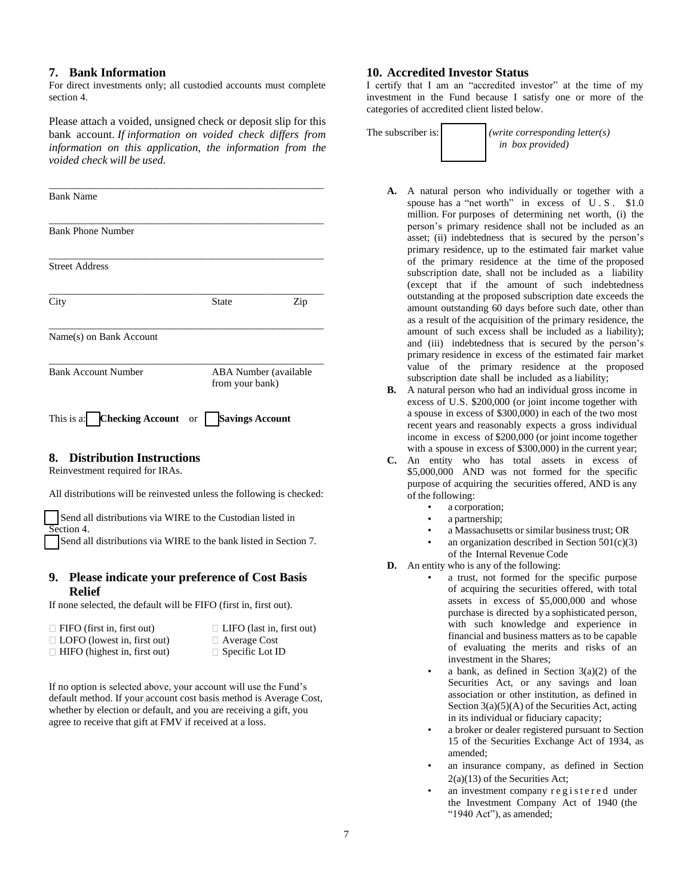## **7. Bank Information**

For direct investments only; all custodied accounts must complete section 4.

Please attach a voided, unsigned check or deposit slip for this bank account. *If information on voided check differs from information on this application, the information from the voided check will be used.*

| <b>Bank Name</b>           |                                          |     |
|----------------------------|------------------------------------------|-----|
| <b>Bank Phone Number</b>   |                                          |     |
| <b>Street Address</b>      |                                          |     |
| City                       | <b>State</b>                             | Zip |
| Name(s) on Bank Account    |                                          |     |
| <b>Bank Account Number</b> | ABA Number (available<br>from your bank) |     |

# This is a: ❑ **Checking Account** or ❑ **Savings Account**

## **8. Distribution Instructions**

Reinvestment required for IRAs.

All distributions will be reinvested unless the following is checked:

Send all distributions via WIRE to the Custodian listed in Section 4.

Send all distributions via WIRE to the bank listed in Section 7.

## **9. Please indicate your preference of Cost Basis Relief**

If none selected, the default will be FIFO (first in, first out).

- $\Box$  FIFO (first in, first out)  $\Box$  LIFO (last in, first out)
	-
- $\Box$  LOFO (lowest in, first out)  $\Box$  Average Cost
- $\Box$  HIFO (highest in, first out)  $\Box$  Specific Lot ID
- -

If no option is selected above, your account will use the Fund's default method. If your account cost basis method is Average Cost, whether by election or default, and you are receiving a gift, you agree to receive that gift at FMV if received at a loss.

### **10. Accredited Investor Status**

I certify that I am an "accredited investor" at the time of my investment in the Fund because I satisfy one or more of the categories of accredited client listed below.

The subscriber is: *(write corresponding letter(s) in box provided)* 

- **A.** A natural person who individually or together with a spouse has a "net worth" in excess of U.S. \$1.0 million. For purposes of determining net worth, (i) the person's primary residence shall not be included as an asset; (ii) indebtedness that is secured by the person's primary residence, up to the estimated fair market value of the primary residence at the time of the proposed subscription date, shall not be included as a liability (except that if the amount of such indebtedness outstanding at the proposed subscription date exceeds the amount outstanding 60 days before such date, other than as a result of the acquisition of the primary residence, the amount of such excess shall be included as a liability); and (iii) indebtedness that is secured by the person's primary residence in excess of the estimated fair market value of the primary residence at the proposed subscription date shall be included as a liability;
- **B.** A natural person who had an individual gross income in excess of U.S. \$200,000 (or joint income together with a spouse in excess of \$300,000) in each of the two most recent years and reasonably expects a gross individual income in excess of \$200,000 (or joint income together with a spouse in excess of \$300,000) in the current year;
- **C.** An entity who has total assets in excess of \$5,000,000 AND was not formed for the specific purpose of acquiring the securities offered, AND is any of the following:
	- a corporation;
	- a partnership;
	- a Massachusetts or similar business trust; OR
	- an organization described in Section  $501(c)(3)$ of the Internal Revenue Code
- **D.** An entity who is any of the following:
	- a trust, not formed for the specific purpose of acquiring the securities offered, with total assets in excess of \$5,000,000 and whose purchase is directed by a sophisticated person, with such knowledge and experience in financial and business matters as to be capable of evaluating the merits and risks of an investment in the Shares;
	- a bank, as defined in Section  $3(a)(2)$  of the Securities Act, or any savings and loan association or other institution, as defined in Section 3(a)(5)(A) of the Securities Act, acting in its individual or fiduciary capacity;
	- a broker or dealer registered pursuant to Section 15 of the Securities Exchange Act of 1934, as amended;
	- an insurance company, as defined in Section 2(a)(13) of the Securities Act;
	- an investment company registered under the Investment Company Act of 1940 (the "1940 Act"), as amended;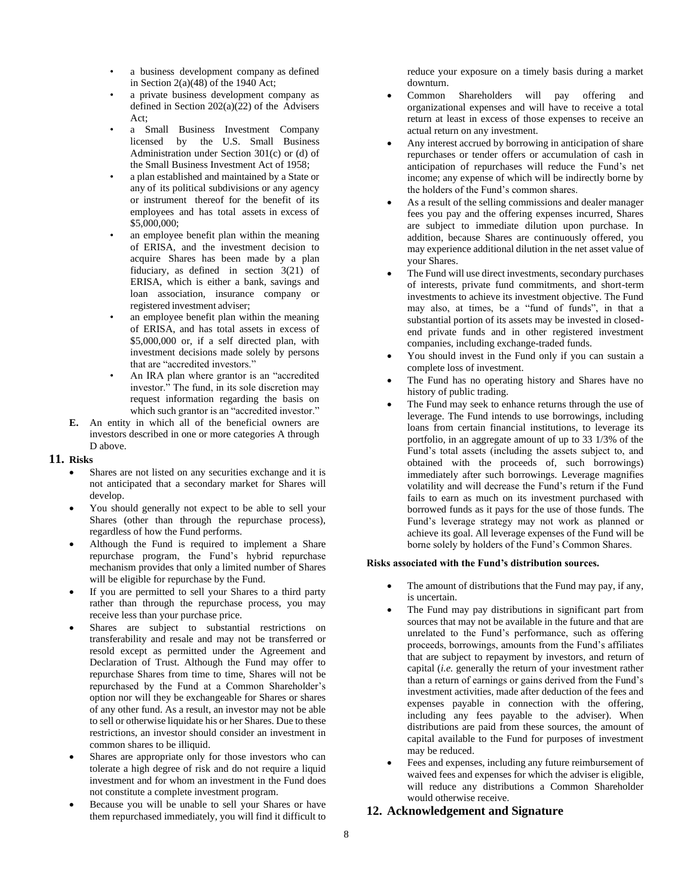- a business development company as defined in Section  $2(a)(48)$  of the 1940 Act;
- a private business development company as defined in Section  $202(a)(22)$  of the Advisers Act;
- a Small Business Investment Company licensed by the U.S. Small Business Administration under Section 301(c) or (d) of the Small Business Investment Act of 1958;
- a plan established and maintained by a State or any of its political subdivisions or any agency or instrument thereof for the benefit of its employees and has total assets in excess of \$5,000,000;
- an employee benefit plan within the meaning of ERISA, and the investment decision to acquire Shares has been made by a plan fiduciary, as defined in section 3(21) of ERISA, which is either a bank, savings and loan association, insurance company or registered investment adviser;
- an employee benefit plan within the meaning of ERISA, and has total assets in excess of \$5,000,000 or, if a self directed plan, with investment decisions made solely by persons that are "accredited investors."
- An IRA plan where grantor is an "accredited" investor." The fund, in its sole discretion may request information regarding the basis on which such grantor is an "accredited investor."
- **E.** An entity in which all of the beneficial owners are investors described in one or more categories A through D above.

#### **11. Risks**

- Shares are not listed on any securities exchange and it is not anticipated that a secondary market for Shares will develop.
- You should generally not expect to be able to sell your Shares (other than through the repurchase process), regardless of how the Fund performs.
- Although the Fund is required to implement a Share repurchase program, the Fund's hybrid repurchase mechanism provides that only a limited number of Shares will be eligible for repurchase by the Fund.
- If you are permitted to sell your Shares to a third party rather than through the repurchase process, you may receive less than your purchase price.
- Shares are subject to substantial restrictions on transferability and resale and may not be transferred or resold except as permitted under the Agreement and Declaration of Trust. Although the Fund may offer to repurchase Shares from time to time, Shares will not be repurchased by the Fund at a Common Shareholder's option nor will they be exchangeable for Shares or shares of any other fund. As a result, an investor may not be able to sell or otherwise liquidate his or her Shares. Due to these restrictions, an investor should consider an investment in common shares to be illiquid.
- Shares are appropriate only for those investors who can tolerate a high degree of risk and do not require a liquid investment and for whom an investment in the Fund does not constitute a complete investment program.
- Because you will be unable to sell your Shares or have them repurchased immediately, you will find it difficult to

reduce your exposure on a timely basis during a market downturn.

- Common Shareholders will pay offering and organizational expenses and will have to receive a total return at least in excess of those expenses to receive an actual return on any investment.
- Any interest accrued by borrowing in anticipation of share repurchases or tender offers or accumulation of cash in anticipation of repurchases will reduce the Fund's net income; any expense of which will be indirectly borne by the holders of the Fund's common shares.
- As a result of the selling commissions and dealer manager fees you pay and the offering expenses incurred, Shares are subject to immediate dilution upon purchase. In addition, because Shares are continuously offered, you may experience additional dilution in the net asset value of your Shares.
- The Fund will use direct investments, secondary purchases of interests, private fund commitments, and short-term investments to achieve its investment objective. The Fund may also, at times, be a "fund of funds", in that a substantial portion of its assets may be invested in closedend private funds and in other registered investment companies, including exchange-traded funds.
- You should invest in the Fund only if you can sustain a complete loss of investment.
- The Fund has no operating history and Shares have no history of public trading.
- The Fund may seek to enhance returns through the use of leverage. The Fund intends to use borrowings, including loans from certain financial institutions, to leverage its portfolio, in an aggregate amount of up to 33 1/3% of the Fund's total assets (including the assets subject to, and obtained with the proceeds of, such borrowings) immediately after such borrowings. Leverage magnifies volatility and will decrease the Fund's return if the Fund fails to earn as much on its investment purchased with borrowed funds as it pays for the use of those funds. The Fund's leverage strategy may not work as planned or achieve its goal. All leverage expenses of the Fund will be borne solely by holders of the Fund's Common Shares.

#### **Risks associated with the Fund's distribution sources.**

- The amount of distributions that the Fund may pay, if any, is uncertain.
- The Fund may pay distributions in significant part from sources that may not be available in the future and that are unrelated to the Fund's performance, such as offering proceeds, borrowings, amounts from the Fund's affiliates that are subject to repayment by investors, and return of capital (*i.e.* generally the return of your investment rather than a return of earnings or gains derived from the Fund's investment activities, made after deduction of the fees and expenses payable in connection with the offering, including any fees payable to the adviser). When distributions are paid from these sources, the amount of capital available to the Fund for purposes of investment may be reduced.
- Fees and expenses, including any future reimbursement of waived fees and expenses for which the adviser is eligible, will reduce any distributions a Common Shareholder would otherwise receive.

## **12. Acknowledgement and Signature**